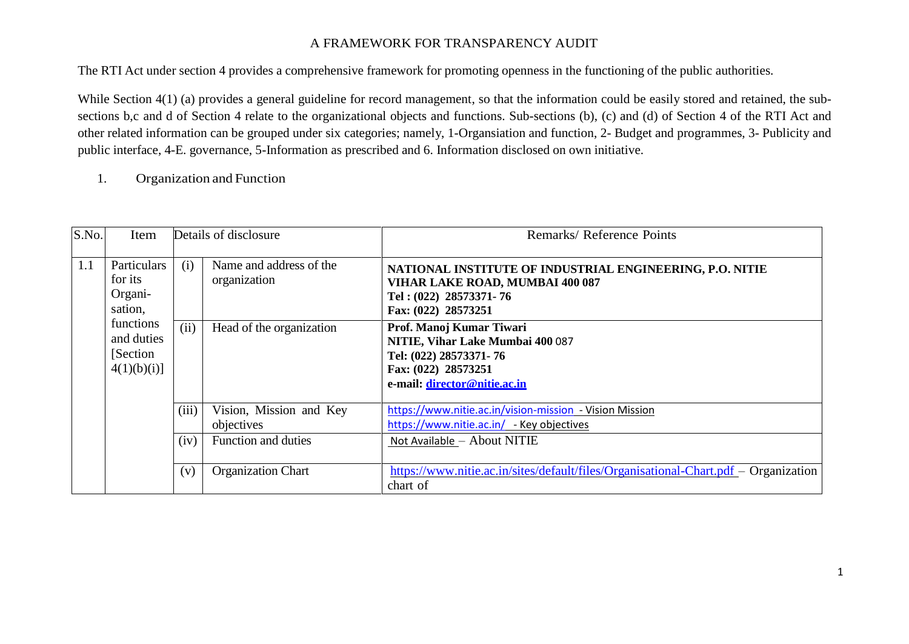#### A FRAMEWORK FOR TRANSPARENCY AUDIT

The RTI Act under section 4 provides a comprehensive framework for promoting openness in the functioning of the public authorities.

While Section 4(1) (a) provides a general guideline for record management, so that the information could be easily stored and retained, the subsections b,c and d of Section 4 relate to the organizational objects and functions. Sub-sections (b), (c) and (d) of Section 4 of the RTI Act and other related information can be grouped under six categories; namely, 1-Organsiation and function, 2- Budget and programmes, 3- Publicity and public interface, 4-E. governance, 5-Information as prescribed and 6. Information disclosed on own initiative.

1. Organization and Function

| S.No. | Item                                                                                               |       | Details of disclosure                   | Remarks/Reference Points                                                                                                                      |
|-------|----------------------------------------------------------------------------------------------------|-------|-----------------------------------------|-----------------------------------------------------------------------------------------------------------------------------------------------|
| 1.1   | Particulars<br>for its<br>Organi-<br>sation,<br>functions<br>and duties<br>[Section]<br>4(1)(b)(i) | (i)   | Name and address of the<br>organization | NATIONAL INSTITUTE OF INDUSTRIAL ENGINEERING, P.O. NITIE<br>VIHAR LAKE ROAD, MUMBAI 400 087<br>Tel: (022) 28573371-76<br>Fax: (022) 28573251  |
|       |                                                                                                    | (ii)  | Head of the organization                | Prof. Manoj Kumar Tiwari<br>NITIE, Vihar Lake Mumbai 400 087<br>Tel: (022) 28573371-76<br>Fax: (022) 28573251<br>e-mail: director@nitie.ac.in |
|       |                                                                                                    | (iii) | Vision, Mission and Key<br>objectives   | https://www.nitie.ac.in/vision-mission - Vision Mission<br>https://www.nitie.ac.in/ - Key objectives                                          |
|       |                                                                                                    | (iv)  | Function and duties                     | Not Available - About NITIE                                                                                                                   |
|       |                                                                                                    | (v)   | <b>Organization Chart</b>               | https://www.nitie.ac.in/sites/default/files/Organisational-Chart.pdf – Organization<br>chart of                                               |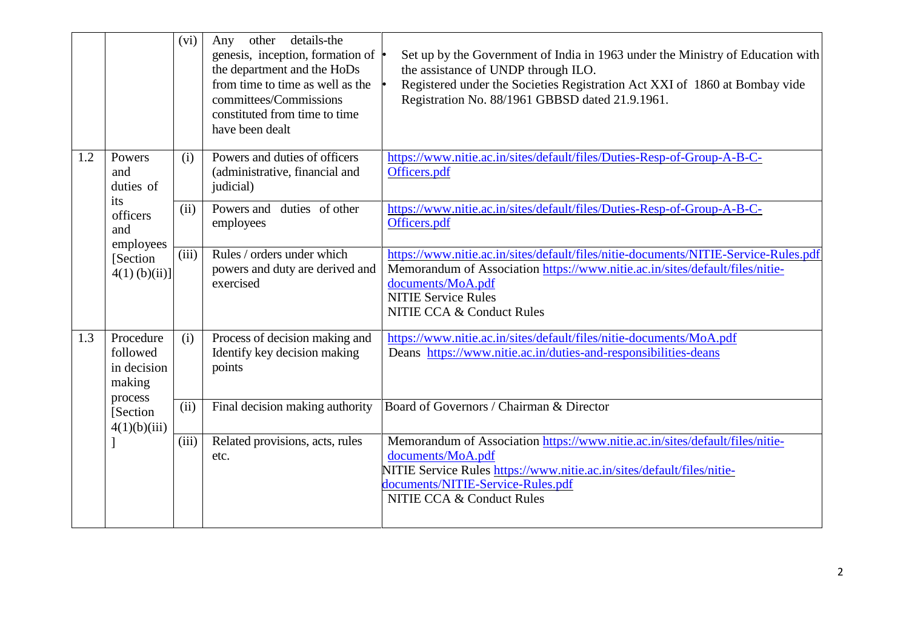|  |     |                                                                                                  | (vi)                                    | other<br>details-the<br>Any<br>genesis, inception, formation of $\cdot$<br>the department and the HoDs<br>from time to time as well as the<br>committees/Commissions<br>constituted from time to time<br>have been dealt                                 | Set up by the Government of India in 1963 under the Ministry of Education with<br>the assistance of UNDP through ILO.<br>Registered under the Societies Registration Act XXI of 1860 at Bombay vide<br>Registration No. 88/1961 GBBSD dated 21.9.1961.         |
|--|-----|--------------------------------------------------------------------------------------------------|-----------------------------------------|----------------------------------------------------------------------------------------------------------------------------------------------------------------------------------------------------------------------------------------------------------|----------------------------------------------------------------------------------------------------------------------------------------------------------------------------------------------------------------------------------------------------------------|
|  | 1.2 | Powers<br>and<br>duties of<br>its<br>officers<br>and<br>employees<br>[Section<br>$4(1)$ (b)(ii)] | (i)                                     | Powers and duties of officers<br>(administrative, financial and<br>judicial)                                                                                                                                                                             | https://www.nitie.ac.in/sites/default/files/Duties-Resp-of-Group-A-B-C-<br>Officers.pdf                                                                                                                                                                        |
|  |     |                                                                                                  | (ii)                                    | Powers and duties of other<br>employees                                                                                                                                                                                                                  | https://www.nitie.ac.in/sites/default/files/Duties-Resp-of-Group-A-B-C-<br>Officers.pdf                                                                                                                                                                        |
|  |     |                                                                                                  | (iii)                                   | Rules / orders under which<br>powers and duty are derived and<br>exercised                                                                                                                                                                               | https://www.nitie.ac.in/sites/default/files/nitie-documents/NITIE-Service-Rules.pdf<br>Memorandum of Association https://www.nitie.ac.in/sites/default/files/nitie-<br>documents/MoA.pdf<br><b>NITIE Service Rules</b><br><b>NITIE CCA &amp; Conduct Rules</b> |
|  | 1.3 | Procedure<br>followed<br>in decision<br>making<br>process<br>[Section]<br>4(1)(b)(iii)           | (i)                                     | Process of decision making and<br>Identify key decision making<br>points                                                                                                                                                                                 | https://www.nitie.ac.in/sites/default/files/nitie-documents/MoA.pdf<br>Deans https://www.nitie.ac.in/duties-and-responsibilities-deans                                                                                                                         |
|  |     |                                                                                                  | (ii)                                    | Final decision making authority                                                                                                                                                                                                                          | Board of Governors / Chairman & Director                                                                                                                                                                                                                       |
|  |     | (iii)                                                                                            | Related provisions, acts, rules<br>etc. | Memorandum of Association https://www.nitie.ac.in/sites/default/files/nitie-<br>documents/MoA.pdf<br>NITIE Service Rules https://www.nitie.ac.in/sites/default/files/nitie-<br>documents/NITIE-Service-Rules.pdf<br><b>NITIE CCA &amp; Conduct Rules</b> |                                                                                                                                                                                                                                                                |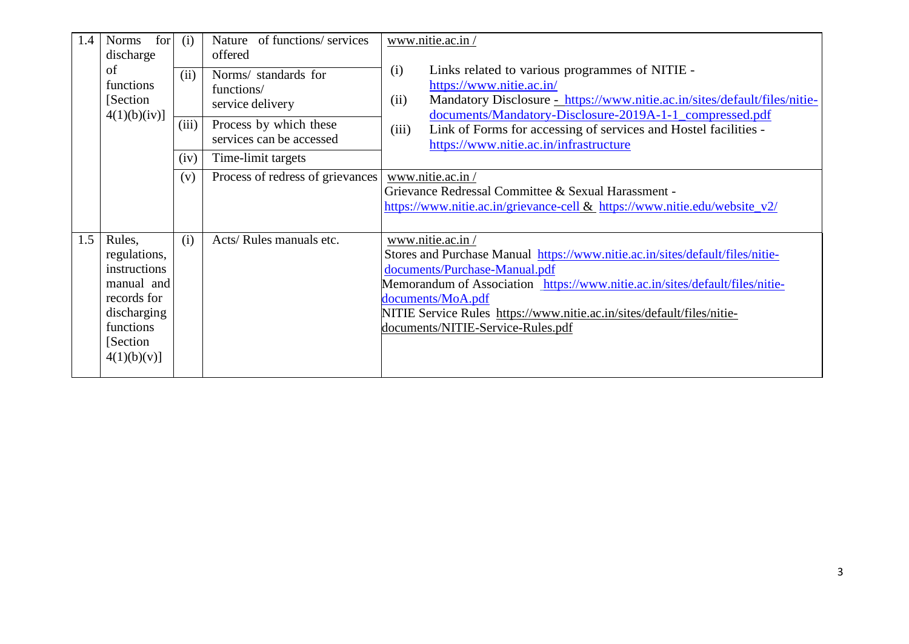| 1.4 | for<br><b>Norms</b><br>discharge<br>of<br>functions<br>[Section]<br>4(1)(b)(iv)]                                            | (i)<br>(ii) | Nature of functions/ services<br>offered<br>Norms/ standards for<br>functions/<br>service delivery | www.nitie.ac.in/<br>Links related to various programmes of NITIE -<br>(i)<br>https://www.nitie.ac.in/<br>Mandatory Disclosure - https://www.nitie.ac.in/sites/default/files/nitie-<br>(ii)<br>documents/Mandatory-Disclosure-2019A-1-1_compressed.pdf                                                                                                  |  |
|-----|-----------------------------------------------------------------------------------------------------------------------------|-------------|----------------------------------------------------------------------------------------------------|--------------------------------------------------------------------------------------------------------------------------------------------------------------------------------------------------------------------------------------------------------------------------------------------------------------------------------------------------------|--|
|     |                                                                                                                             | (iii)       | Process by which these<br>services can be accessed                                                 | Link of Forms for accessing of services and Hostel facilities -<br>(iii)<br>https://www.nitie.ac.in/infrastructure                                                                                                                                                                                                                                     |  |
|     |                                                                                                                             | (iv)        | Time-limit targets                                                                                 |                                                                                                                                                                                                                                                                                                                                                        |  |
|     |                                                                                                                             | (v)         | Process of redress of grievances                                                                   | www.nitie.ac.in/<br>Grievance Redressal Committee & Sexual Harassment -<br>https://www.nitie.ac.in/grievance-cell & https://www.nitie.edu/website_v2/                                                                                                                                                                                                  |  |
| 1.5 | Rules,<br>regulations,<br>instructions<br>manual and<br>records for<br>discharging<br>functions<br>[Section]<br>4(1)(b)(v)] | (i)         | Acts/Rules manuals etc.                                                                            | www.nitie.ac.in/<br>Stores and Purchase Manual https://www.nitie.ac.in/sites/default/files/nitie-<br>documents/Purchase-Manual.pdf<br>Memorandum of Association https://www.nitie.ac.in/sites/default/files/nitie-<br>documents/MoA.pdf<br>NITIE Service Rules https://www.nitie.ac.in/sites/default/files/nitie-<br>documents/NITIE-Service-Rules.pdf |  |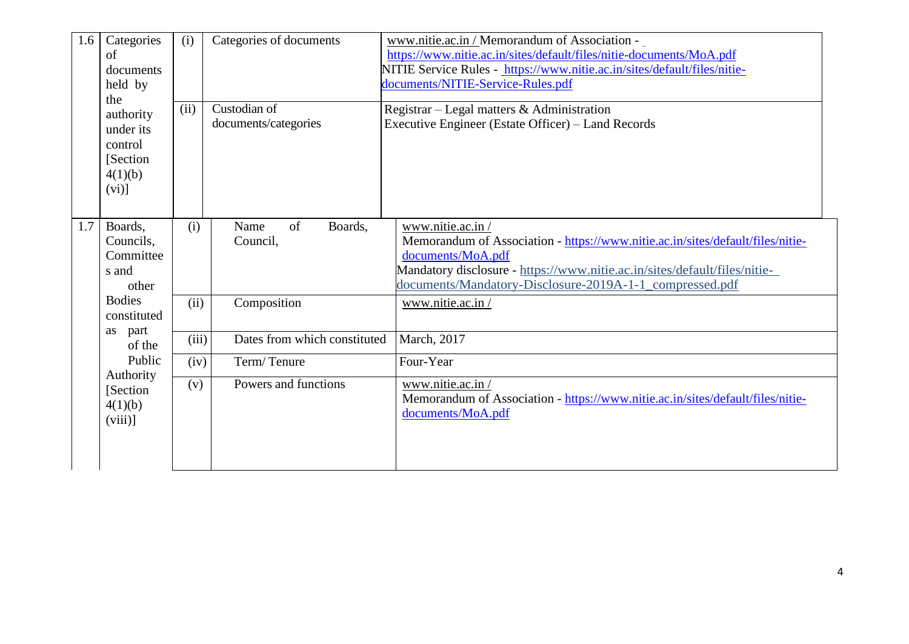| 1.6 | Categories<br>of<br>documents<br>held by<br>the<br>authority<br>under its<br>control<br>[Section]<br>4(1)(b)<br>(vi)] | (i)<br>(ii) | Categories of documents<br>Custodian of<br>documents/categories | www.nitie.ac.in / Memorandum of Association -<br>https://www.nitie.ac.in/sites/default/files/nitie-documents/MoA.pdf<br>NITIE Service Rules - https://www.nitie.ac.in/sites/default/files/nitie-<br>documents/NITIE-Service-Rules.pdf<br>Registrar – Legal matters & Administration<br>Executive Engineer (Estate Officer) – Land Records |
|-----|-----------------------------------------------------------------------------------------------------------------------|-------------|-----------------------------------------------------------------|-------------------------------------------------------------------------------------------------------------------------------------------------------------------------------------------------------------------------------------------------------------------------------------------------------------------------------------------|
| 1.7 | Boards,<br>Councils,<br>Committee<br>s and<br>other                                                                   | (i)         | of<br>Boards,<br>Name<br>Council,                               | www.nitie.ac.in/<br>Memorandum of Association - https://www.nitie.ac.in/sites/default/files/nitie-<br>documents/MoA.pdf<br>Mandatory disclosure - https://www.nitie.ac.in/sites/default/files/nitie-<br>documents/Mandatory-Disclosure-2019A-1-1_compressed.pdf                                                                           |
|     | <b>Bodies</b><br>constituted                                                                                          | (ii)        | Composition                                                     | www.nitie.ac.in/                                                                                                                                                                                                                                                                                                                          |
|     | part<br>as<br>of the                                                                                                  | (iii)       | Dates from which constituted                                    | March, 2017                                                                                                                                                                                                                                                                                                                               |
|     | Public<br>Authority                                                                                                   | (iv)        | Term/Tenure                                                     | Four-Year                                                                                                                                                                                                                                                                                                                                 |
|     | [Section<br>4(1)(b)<br>(viii)                                                                                         | (v)         | Powers and functions                                            | www.nitie.ac.in/<br>Memorandum of Association - https://www.nitie.ac.in/sites/default/files/nitie-<br>documents/MoA.pdf                                                                                                                                                                                                                   |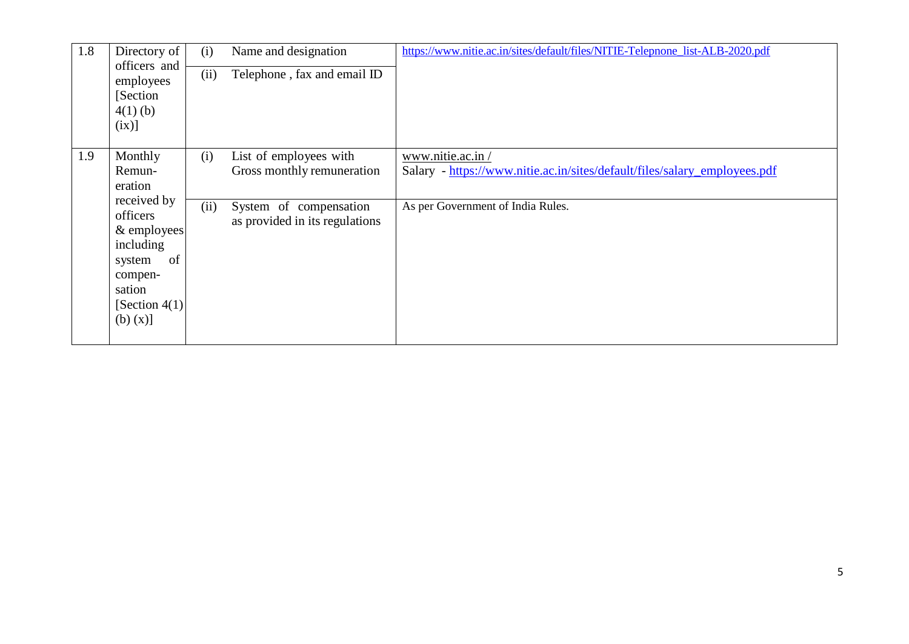| 1.8 | Directory of<br>officers and<br>employees<br>Section<br>$4(1)$ (b)<br>(ix)]                                                                              | (i)<br>(ii) | Name and designation<br>Telephone, fax and email ID                                                              | https://www.nitie.ac.in/sites/default/files/NITIE-Telepnone_list-ALB-2020.pdf                                                      |
|-----|----------------------------------------------------------------------------------------------------------------------------------------------------------|-------------|------------------------------------------------------------------------------------------------------------------|------------------------------------------------------------------------------------------------------------------------------------|
| 1.9 | Monthly<br>Remun-<br>eration<br>received by<br>officers<br>& employees<br>including<br>of<br>system<br>compen-<br>sation<br>[Section $4(1)$ ]<br>(b) (x) | (i)<br>(ii) | List of employees with<br>Gross monthly remuneration<br>System of compensation<br>as provided in its regulations | www.nitie.ac.in/<br>Salary - https://www.nitie.ac.in/sites/default/files/salary_employees.pdf<br>As per Government of India Rules. |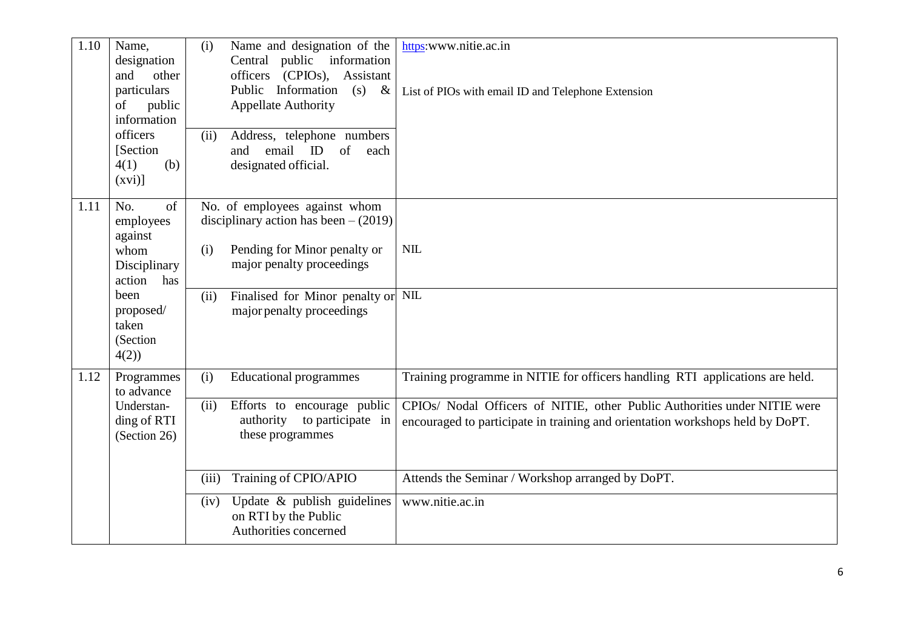| 1.10 | Name,<br>designation<br>and<br>other<br>particulars<br>public<br>of<br>information<br>officers<br>[Section]<br>(b)<br>4(1)<br>$(xvi)$ ] | Name and designation of the<br>(i)<br>https:www.nitie.ac.in<br>Central public information<br>officers (CPIOs), Assistant<br>Public Information (s)<br>$\&$<br>List of PIOs with email ID and Telephone Extension<br><b>Appellate Authority</b><br>Address, telephone numbers<br>(ii)<br>email ID<br>of<br>and<br>each<br>designated official. |
|------|-----------------------------------------------------------------------------------------------------------------------------------------|-----------------------------------------------------------------------------------------------------------------------------------------------------------------------------------------------------------------------------------------------------------------------------------------------------------------------------------------------|
| 1.11 | No.<br>of<br>employees<br>against<br>whom<br>Disciplinary<br>action<br>has                                                              | No. of employees against whom<br>disciplinary action has been $- (2019)$<br><b>NIL</b><br>Pending for Minor penalty or<br>(i)<br>major penalty proceedings                                                                                                                                                                                    |
|      | been<br>proposed/<br>taken<br>(Section<br>4(2)                                                                                          | Finalised for Minor penalty or NIL<br>(ii)<br>major penalty proceedings                                                                                                                                                                                                                                                                       |
| 1.12 | Programmes<br>to advance                                                                                                                | Training programme in NITIE for officers handling RTI applications are held.<br>(i)<br><b>Educational programmes</b>                                                                                                                                                                                                                          |
|      | Understan-<br>ding of RTI<br>(Section 26)                                                                                               | CPIOs/ Nodal Officers of NITIE, other Public Authorities under NITIE were<br>(ii)<br>Efforts to encourage public<br>authority<br>to participate in<br>encouraged to participate in training and orientation workshops held by DoPT.<br>these programmes                                                                                       |
|      |                                                                                                                                         | Training of CPIO/APIO<br>Attends the Seminar / Workshop arranged by DoPT.<br>(iii)                                                                                                                                                                                                                                                            |
|      |                                                                                                                                         | www.nitie.ac.in<br>Update $\&$ publish guidelines<br>(iv)<br>on RTI by the Public<br>Authorities concerned                                                                                                                                                                                                                                    |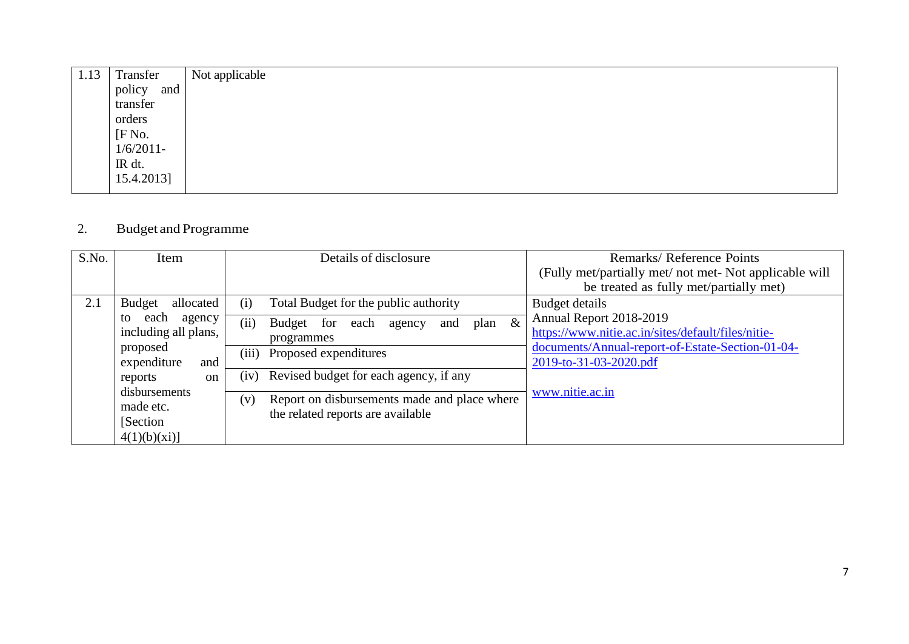| 1.13 | Transfer      | Not applicable |
|------|---------------|----------------|
|      | policy<br>and |                |
|      | transfer      |                |
|      | orders        |                |
|      | [F No.        |                |
|      | $1/6/2011$ -  |                |
|      | IR dt.        |                |
|      | 15.4.2013]    |                |
|      |               |                |

# 2. Budget and Programme

| S.No. | Item                                                                                                                                                                                                | Details of disclosure                                                                                                                                                                                                                                                                                  | Remarks/Reference Points<br>(Fully met/partially met/ not met- Not applicable will<br>be treated as fully met/partially met)                                                                     |
|-------|-----------------------------------------------------------------------------------------------------------------------------------------------------------------------------------------------------|--------------------------------------------------------------------------------------------------------------------------------------------------------------------------------------------------------------------------------------------------------------------------------------------------------|--------------------------------------------------------------------------------------------------------------------------------------------------------------------------------------------------|
| 2.1   | <b>Budget</b><br>allocated<br>each<br>agency<br>to<br>including all plans,<br>proposed<br>expenditure<br>and<br>reports<br><sub>on</sub><br>disbursements<br>made etc.<br>[Section]<br>4(1)(b)(xi)] | Total Budget for the public authority<br>(i)<br>plan $\&$<br>(ii)<br>Budget for<br>each<br>and<br>agency<br>programmes<br>(iii)<br>Proposed expenditures<br>Revised budget for each agency, if any<br>(iv)<br>Report on disbursements made and place where<br>(v)<br>the related reports are available | Budget details<br>Annual Report 2018-2019<br>https://www.nitie.ac.in/sites/default/files/nitie-<br>documents/Annual-report-of-Estate-Section-01-04-<br>2019-to-31-03-2020.pdf<br>www.nitie.ac.in |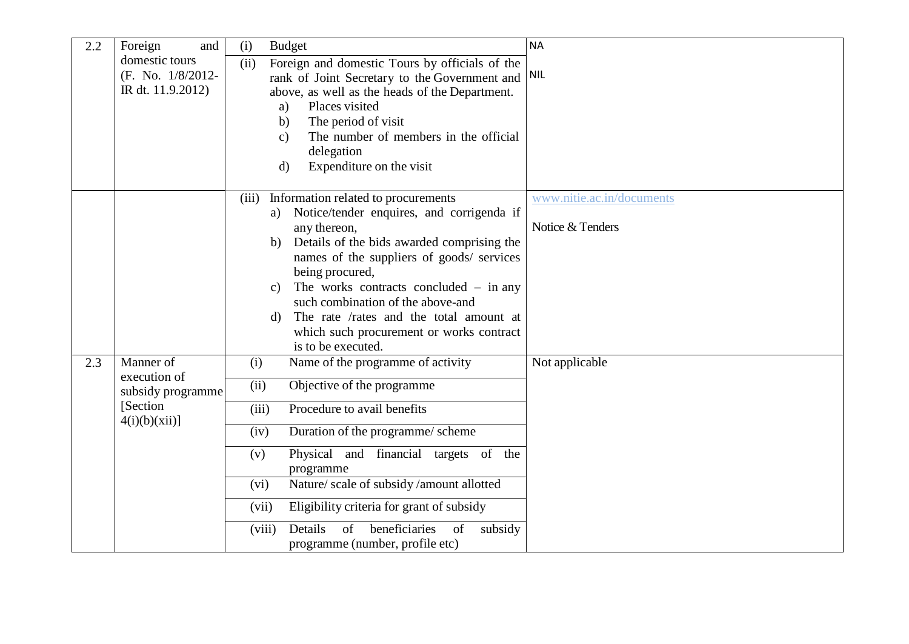| 2.2 | and<br>Foreign                                                              | <b>NA</b><br>(i)<br><b>Budget</b>                                                                                                                                                                                                                                                                                                                                                                                                                                                                        |
|-----|-----------------------------------------------------------------------------|----------------------------------------------------------------------------------------------------------------------------------------------------------------------------------------------------------------------------------------------------------------------------------------------------------------------------------------------------------------------------------------------------------------------------------------------------------------------------------------------------------|
|     | domestic tours<br>(F. No. 1/8/2012-<br>IR dt. 11.9.2012)                    | Foreign and domestic Tours by officials of the<br>(ii)<br>rank of Joint Secretary to the Government and NIL<br>above, as well as the heads of the Department.<br>Places visited<br>a)<br>The period of visit<br>b)<br>The number of members in the official<br>$\mathbf{c})$<br>delegation<br>Expenditure on the visit<br>$\rm d$                                                                                                                                                                        |
|     |                                                                             | Information related to procurements<br>www.nitie.ac.in/documents<br>(iii)<br>Notice/tender enquires, and corrigenda if<br>a)<br>Notice & Tenders<br>any thereon,<br>Details of the bids awarded comprising the<br>b)<br>names of the suppliers of goods/ services<br>being procured,<br>The works contracts concluded $-$ in any<br>$\mathbf{c}$<br>such combination of the above-and<br>The rate /rates and the total amount at<br>d)<br>which such procurement or works contract<br>is to be executed. |
| 2.3 | Manner of<br>execution of<br>subsidy programme<br>[Section]<br>4(i)(b)(xii) | Name of the programme of activity<br>Not applicable<br>(i)<br>(ii)<br>Objective of the programme<br>Procedure to avail benefits<br>(iii)<br>Duration of the programme/ scheme<br>(iv)<br>Physical and financial targets of the<br>(v)<br>programme<br>Nature/ scale of subsidy/amount allotted<br>(vi)<br>Eligibility criteria for grant of subsidy<br>(vii)<br>Details<br>$\sigma$ f<br>beneficiaries<br>of<br>subsidy<br>(viii)<br>programme (number, profile etc)                                     |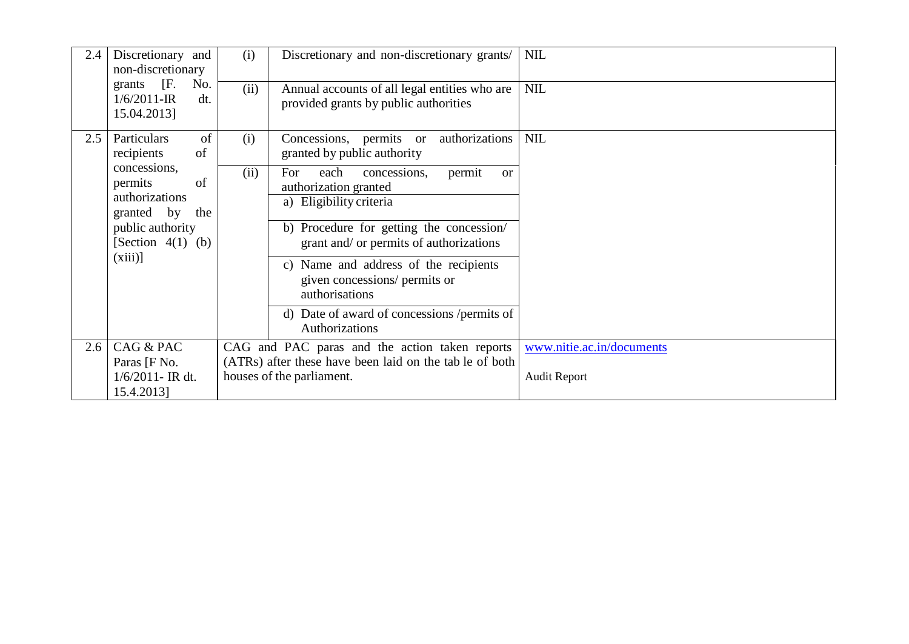| 2.4 | Discretionary and<br>non-discretionary                    | (i)  | Discretionary and non-discretionary grants/                                              | <b>NIL</b>                |
|-----|-----------------------------------------------------------|------|------------------------------------------------------------------------------------------|---------------------------|
|     | grants [F.<br>No.<br>$1/6/2011$ -IR<br>dt.<br>15.04.2013] | (ii) | Annual accounts of all legal entities who are<br>provided grants by public authorities   | <b>NIL</b>                |
| 2.5 | of<br>Particulars<br>recipients<br>of                     | (i)  | authorizations<br>Concessions, permits or<br>granted by public authority                 | <b>NIL</b>                |
|     | concessions,<br>of<br>permits<br>authorizations           | (ii) | concessions,<br>each<br>For<br>permit<br><sub>or</sub><br>authorization granted          |                           |
|     | granted by<br>the                                         |      | a) Eligibility criteria                                                                  |                           |
|     | public authority<br>[Section $4(1)$ (b)                   |      | b) Procedure for getting the concession/<br>grant and/ or permits of authorizations      |                           |
|     | $(xiii)$ ]                                                |      | c) Name and address of the recipients<br>given concessions/ permits or<br>authorisations |                           |
|     |                                                           |      | d) Date of award of concessions / permits of<br>Authorizations                           |                           |
| 2.6 | CAG & PAC                                                 |      | CAG and PAC paras and the action taken reports                                           | www.nitie.ac.in/documents |
|     | Paras [F No.                                              |      | (ATRs) after these have been laid on the tab le of both                                  |                           |
|     | $1/6/2011$ - IR dt.<br>15.4.2013]                         |      | houses of the parliament.                                                                | <b>Audit Report</b>       |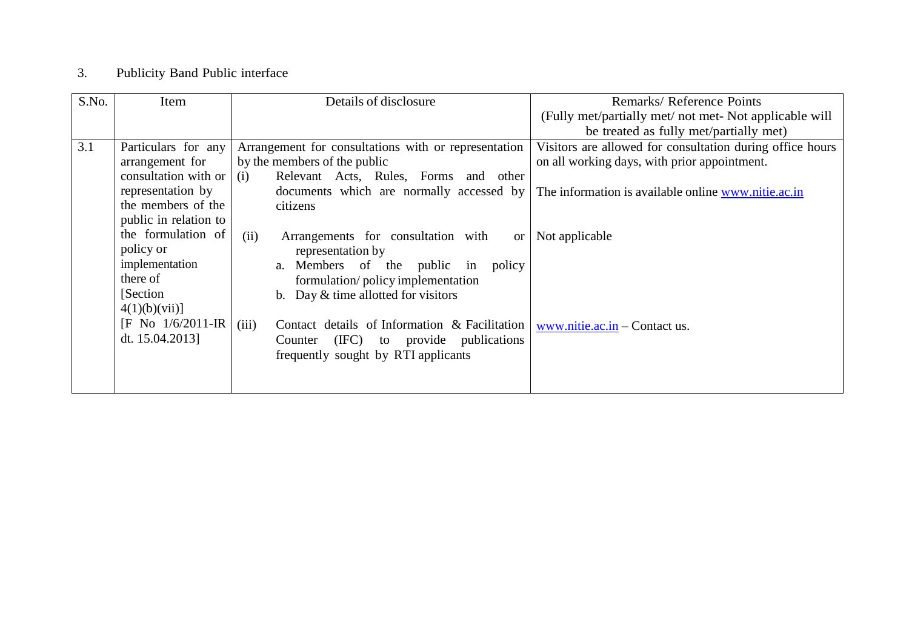## 3. Publicity Band Public interface

| S.No. | Item                  | Details of disclosure                                       | Remarks/Reference Points                                  |
|-------|-----------------------|-------------------------------------------------------------|-----------------------------------------------------------|
|       |                       |                                                             | (Fully met/partially met/ not met- Not applicable will    |
|       |                       |                                                             | be treated as fully met/partially met)                    |
| 3.1   | Particulars for any   | Arrangement for consultations with or representation        | Visitors are allowed for consultation during office hours |
|       | arrangement for       | by the members of the public                                | on all working days, with prior appointment.              |
|       | consultation with or  | Relevant Acts, Rules, Forms and other<br>(i)                |                                                           |
|       | representation by     | documents which are normally accessed by                    | The information is available online www.nitie.ac.in       |
|       | the members of the    | citizens                                                    |                                                           |
|       | public in relation to |                                                             |                                                           |
|       | the formulation of    | (ii)<br>Arrangements for consultation with<br><sub>or</sub> | Not applicable                                            |
|       | policy or             | representation by                                           |                                                           |
|       | implementation        | a. Members of the public<br>in<br>policy                    |                                                           |
|       | there of              | formulation/policy implementation                           |                                                           |
|       | [Section]             | b. Day $&$ time allotted for visitors                       |                                                           |
|       | 4(1)(b)(vii)          |                                                             |                                                           |
|       | $[F No 1/6/2011-IR]$  | (iii)<br>Contact details of Information & Facilitation      | www.nitie.ac.in $-$ Contact us.                           |
|       | dt. 15.04.2013]       | (IFC)<br>to provide publications<br>Counter                 |                                                           |
|       |                       | frequently sought by RTI applicants                         |                                                           |
|       |                       |                                                             |                                                           |
|       |                       |                                                             |                                                           |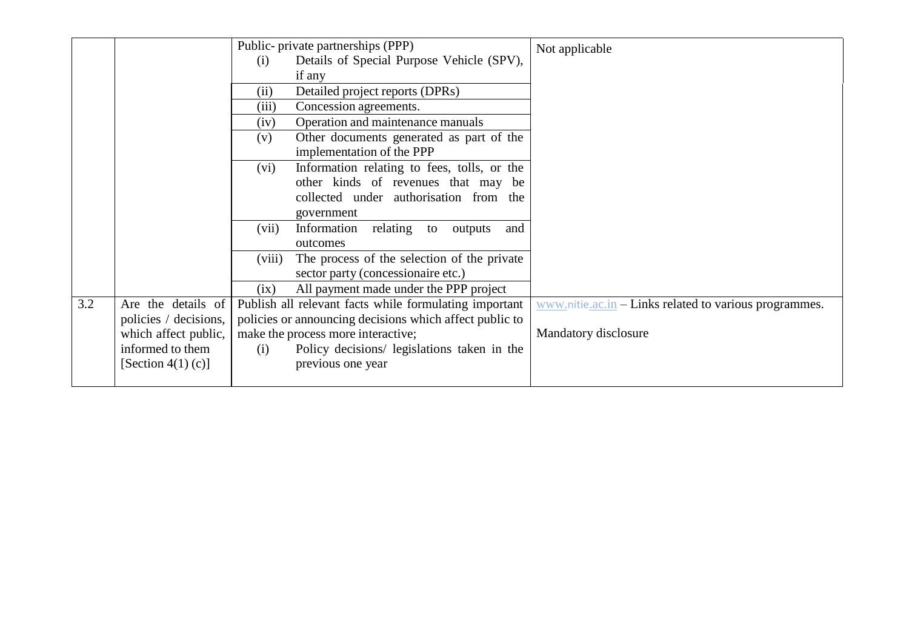|     |                                             | Public- private partnerships (PPP)<br>Not applicable<br>Details of Special Purpose Vehicle (SPV),<br>(i)<br>if any<br>Detailed project reports (DPRs)<br>(ii)               |
|-----|---------------------------------------------|-----------------------------------------------------------------------------------------------------------------------------------------------------------------------------|
|     |                                             | Concession agreements.<br>(iii)<br>Operation and maintenance manuals<br>(iv)                                                                                                |
|     |                                             | Other documents generated as part of the<br>(v)<br>implementation of the PPP                                                                                                |
|     |                                             | Information relating to fees, tolls, or the<br>(vi)<br>other kinds of revenues that may be                                                                                  |
|     |                                             | collected under authorisation from the<br>government                                                                                                                        |
|     |                                             | Information<br>relating to<br>(vii)<br>outputs<br>and<br>outcomes                                                                                                           |
|     |                                             | (viii)<br>The process of the selection of the private<br>sector party (concessionaire etc.)                                                                                 |
|     |                                             | All payment made under the PPP project<br>(ix)                                                                                                                              |
| 3.2 | Are the details of<br>policies / decisions, | Publish all relevant facts while formulating important<br>www.nitie.ac.in – Links related to various programmes.<br>policies or announcing decisions which affect public to |
|     | which affect public,                        | Mandatory disclosure<br>make the process more interactive;                                                                                                                  |
|     | informed to them<br>[Section 4(1) (c)]      | Policy decisions/ legislations taken in the<br>(i)<br>previous one year                                                                                                     |
|     |                                             |                                                                                                                                                                             |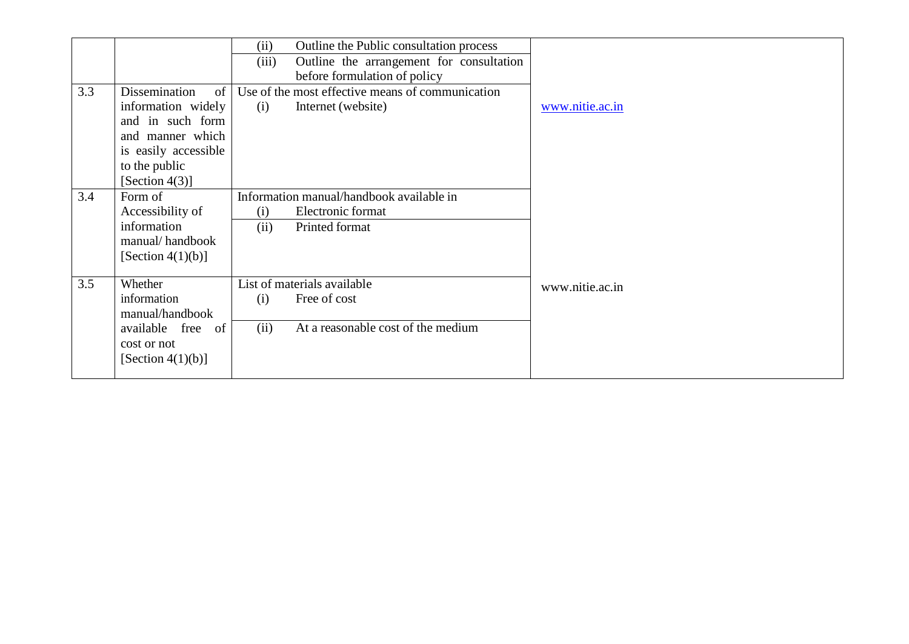|     |                      | Outline the Public consultation process<br>(ii)   |                 |
|-----|----------------------|---------------------------------------------------|-----------------|
|     |                      | Outline the arrangement for consultation<br>(iii) |                 |
|     |                      | before formulation of policy                      |                 |
| 3.3 | Dissemination<br>of  | Use of the most effective means of communication  |                 |
|     | information widely   | Internet (website)<br>(i)                         | www.nitie.ac.in |
|     | and in such form     |                                                   |                 |
|     | and manner which     |                                                   |                 |
|     | is easily accessible |                                                   |                 |
|     | to the public        |                                                   |                 |
|     | [Section $4(3)$ ]    |                                                   |                 |
| 3.4 | Form of              | Information manual/handbook available in          |                 |
|     | Accessibility of     | Electronic format<br>(i)                          |                 |
|     | information          | Printed format<br>(ii)                            |                 |
|     | manual/handbook      |                                                   |                 |
|     | [Section $4(1)(b)$ ] |                                                   |                 |
|     |                      |                                                   |                 |
| 3.5 | Whether              | List of materials available                       | www.nitie.ac.in |
|     | information          | Free of cost<br>(i)                               |                 |
|     | manual/handbook      |                                                   |                 |
|     | available free of    | (ii)<br>At a reasonable cost of the medium        |                 |
|     | cost or not          |                                                   |                 |
|     | [Section $4(1)(b)$ ] |                                                   |                 |
|     |                      |                                                   |                 |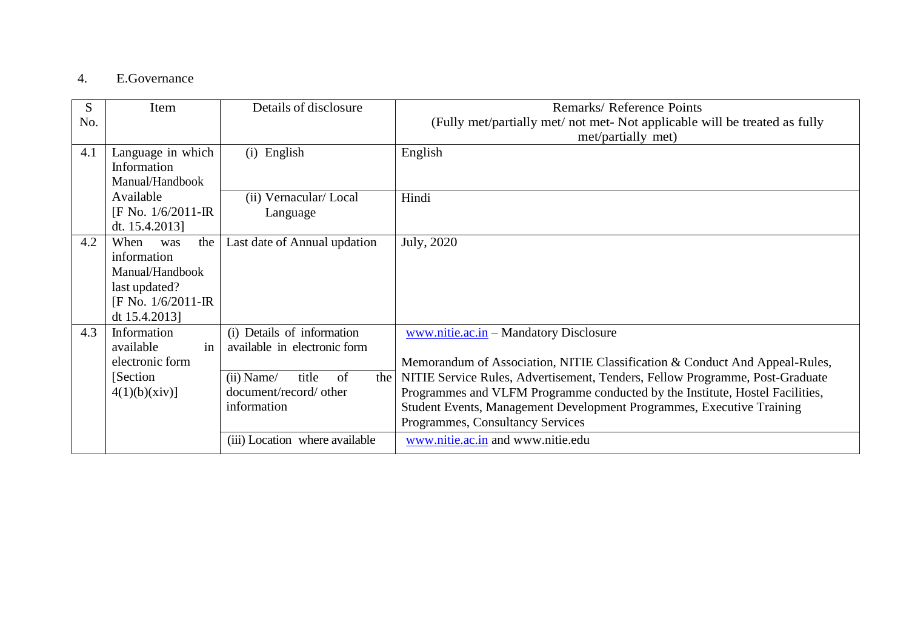### 4. E.Governance

| S<br>No. | Item                                                                                                          | Details of disclosure                                                                                                              | Remarks/Reference Points<br>(Fully met/partially met/ not met- Not applicable will be treated as fully<br>met/partially met)                                                                                                                                                                                                                                                                             |
|----------|---------------------------------------------------------------------------------------------------------------|------------------------------------------------------------------------------------------------------------------------------------|----------------------------------------------------------------------------------------------------------------------------------------------------------------------------------------------------------------------------------------------------------------------------------------------------------------------------------------------------------------------------------------------------------|
| 4.1      | Language in which<br>Information<br>Manual/Handbook                                                           | (i) English                                                                                                                        | English                                                                                                                                                                                                                                                                                                                                                                                                  |
|          | Available<br>$[F No. 1/6/2011 - IR]$<br>dt. $15.4.2013$ ]                                                     | (ii) Vernacular/Local<br>Language                                                                                                  | Hindi                                                                                                                                                                                                                                                                                                                                                                                                    |
| 4.2      | When<br>the<br>was<br>information<br>Manual/Handbook<br>last updated?<br>[F No. 1/6/2011-IR]<br>dt 15.4.2013] | Last date of Annual updation                                                                                                       | July, 2020                                                                                                                                                                                                                                                                                                                                                                                               |
| 4.3      | Information<br>in<br>available<br>electronic form<br>[Section]<br>$4(1)(b)(xiv)$ ]                            | (i) Details of information<br>available in electronic form<br>of<br>title<br>$(ii)$ Name/<br>document/record/ other<br>information | www.nitie.ac.in – Mandatory Disclosure<br>Memorandum of Association, NITIE Classification & Conduct And Appeal-Rules,<br>the   NITIE Service Rules, Advertisement, Tenders, Fellow Programme, Post-Graduate<br>Programmes and VLFM Programme conducted by the Institute, Hostel Facilities,<br>Student Events, Management Development Programmes, Executive Training<br>Programmes, Consultancy Services |
|          |                                                                                                               | (iii) Location where available                                                                                                     | www.nitie.ac.in and www.nitie.edu                                                                                                                                                                                                                                                                                                                                                                        |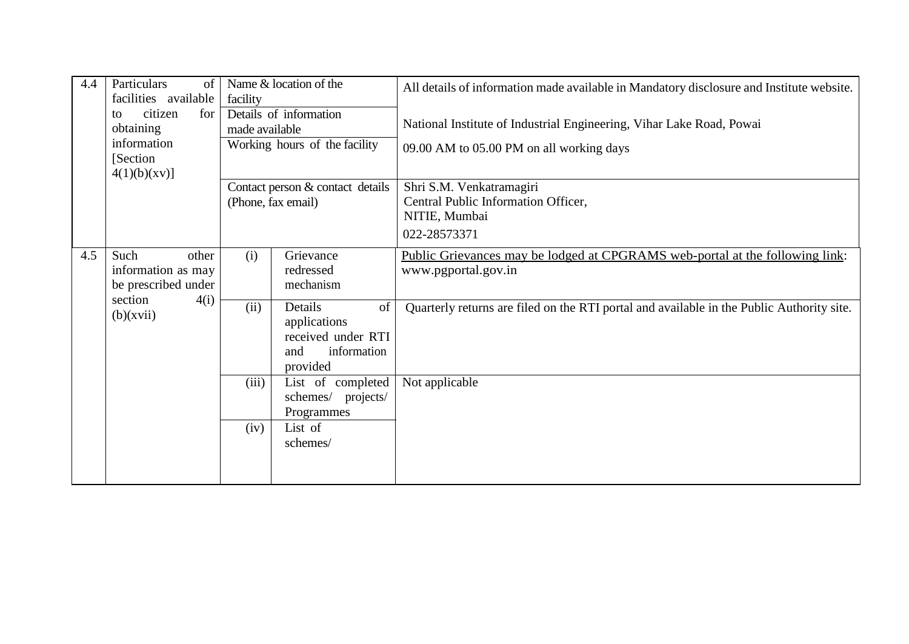| 4.4 | Particulars<br>of<br>facilities available                                                                                                                 | Name & location of the<br>facility                     |                                                                                       | All details of information made available in Mandatory disclosure and Institute website.                         |
|-----|-----------------------------------------------------------------------------------------------------------------------------------------------------------|--------------------------------------------------------|---------------------------------------------------------------------------------------|------------------------------------------------------------------------------------------------------------------|
|     | Details of information<br>citizen<br>for<br>to<br>obtaining<br>made available<br>information<br>Working hours of the facility<br>[Section]<br>4(1)(b)(xy) |                                                        |                                                                                       | National Institute of Industrial Engineering, Vihar Lake Road, Powai<br>09.00 AM to 05.00 PM on all working days |
|     |                                                                                                                                                           | Contact person & contact details<br>(Phone, fax email) |                                                                                       | Shri S.M. Venkatramagiri<br>Central Public Information Officer,<br>NITIE, Mumbai<br>022-28573371                 |
| 4.5 | Such<br>other<br>information as may<br>be prescribed under<br>section<br>4(i)                                                                             | (i)                                                    | Grievance<br>redressed<br>mechanism                                                   | Public Grievances may be lodged at CPGRAMS web-portal at the following link:<br>www.pgportal.gov.in              |
|     | (b)(xvii)                                                                                                                                                 | (ii)                                                   | Details<br>of<br>applications<br>received under RTI<br>information<br>and<br>provided | Quarterly returns are filed on the RTI portal and available in the Public Authority site.                        |
|     |                                                                                                                                                           | (iii)                                                  | List of completed<br>schemes/ projects/<br>Programmes                                 | Not applicable                                                                                                   |
|     |                                                                                                                                                           | (iv)                                                   | List of<br>schemes/                                                                   |                                                                                                                  |
|     |                                                                                                                                                           |                                                        |                                                                                       |                                                                                                                  |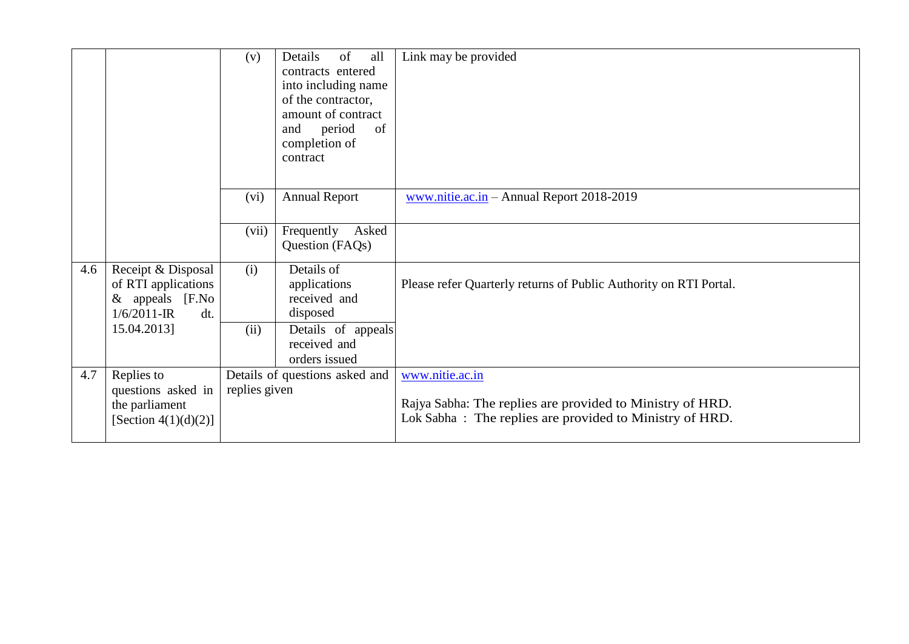|     |                                       | (v)           | of<br>Details<br>all           | Link may be provided                                              |
|-----|---------------------------------------|---------------|--------------------------------|-------------------------------------------------------------------|
|     |                                       |               | contracts entered              |                                                                   |
|     |                                       |               | into including name            |                                                                   |
|     |                                       |               | of the contractor,             |                                                                   |
|     |                                       |               | amount of contract             |                                                                   |
|     |                                       |               | period<br>of<br>and            |                                                                   |
|     |                                       |               |                                |                                                                   |
|     |                                       |               | completion of                  |                                                                   |
|     |                                       |               | contract                       |                                                                   |
|     |                                       |               |                                |                                                                   |
|     |                                       | (vi)          | <b>Annual Report</b>           | www.nitie.ac.in – Annual Report 2018-2019                         |
|     |                                       |               |                                |                                                                   |
|     |                                       | (vii)         | Frequently<br>Asked            |                                                                   |
|     |                                       |               | Question (FAQs)                |                                                                   |
|     |                                       |               |                                |                                                                   |
| 4.6 | Receipt & Disposal                    | (i)           | Details of                     |                                                                   |
|     | of RTI applications                   |               | applications                   | Please refer Quarterly returns of Public Authority on RTI Portal. |
|     | & appeals<br>[ <b>F</b> . <b>No</b> ] |               | received and                   |                                                                   |
|     | $1/6/2011$ -IR<br>dt.                 |               | disposed                       |                                                                   |
|     | 15.04.2013]                           | (ii)          | Details of appeals             |                                                                   |
|     |                                       |               | received and                   |                                                                   |
|     |                                       |               | orders issued                  |                                                                   |
| 4.7 | Replies to                            |               | Details of questions asked and | www.nitie.ac.in                                                   |
|     | questions asked in                    | replies given |                                |                                                                   |
|     | the parliament                        |               |                                | Rajya Sabha: The replies are provided to Ministry of HRD.         |
|     | [Section $4(1)(d)(2)$ ]               |               |                                | Lok Sabha: The replies are provided to Ministry of HRD.           |
|     |                                       |               |                                |                                                                   |
|     |                                       |               |                                |                                                                   |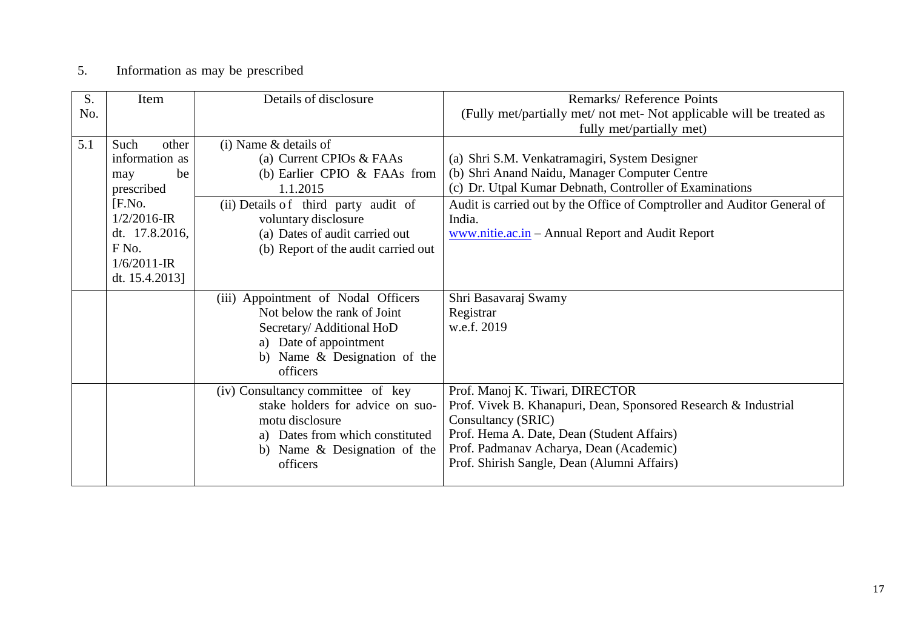# 5. Information as may be prescribed

| S.  | Item                         | Details of disclosure                | Remarks/Reference Points                                                 |
|-----|------------------------------|--------------------------------------|--------------------------------------------------------------------------|
| No. |                              |                                      | (Fully met/partially met/ not met- Not applicable will be treated as     |
|     |                              |                                      | fully met/partially met)                                                 |
| 5.1 | Such<br>other                | $(i)$ Name & details of              |                                                                          |
|     | information as               | (a) Current CPIOs & FAAs             | (a) Shri S.M. Venkatramagiri, System Designer                            |
|     | be<br>may                    | (b) Earlier CPIO & FAAs from         | (b) Shri Anand Naidu, Manager Computer Centre                            |
|     | prescribed                   | 1.1.2015                             | (c) Dr. Utpal Kumar Debnath, Controller of Examinations                  |
|     | [ <b>F</b> .No.              | (ii) Details of third party audit of | Audit is carried out by the Office of Comptroller and Auditor General of |
|     | $1/2/2016$ -IR               | voluntary disclosure                 | India.                                                                   |
|     | dt. 17.8.2016,               | (a) Dates of audit carried out       | www.nitie.ac.in - Annual Report and Audit Report                         |
|     | F <sub>No.</sub>             | (b) Report of the audit carried out  |                                                                          |
|     | $1/6/2011$ -IR               |                                      |                                                                          |
|     | dt. $15.4.2013$ ]            |                                      |                                                                          |
|     |                              | (iii) Appointment of Nodal Officers  | Shri Basavaraj Swamy                                                     |
|     |                              | Not below the rank of Joint          | Registrar                                                                |
|     |                              | Secretary/ Additional HoD            | w.e.f. 2019                                                              |
|     |                              | a) Date of appointment               |                                                                          |
|     | b) Name & Designation of the |                                      |                                                                          |
|     |                              | officers                             |                                                                          |
|     |                              | (iv) Consultancy committee of key    | Prof. Manoj K. Tiwari, DIRECTOR                                          |
|     |                              | stake holders for advice on suo-     | Prof. Vivek B. Khanapuri, Dean, Sponsored Research & Industrial          |
|     |                              | motu disclosure                      | Consultancy (SRIC)                                                       |
|     |                              | a) Dates from which constituted      | Prof. Hema A. Date, Dean (Student Affairs)                               |
|     |                              | b) Name & Designation of the         | Prof. Padmanav Acharya, Dean (Academic)                                  |
|     |                              | officers                             | Prof. Shirish Sangle, Dean (Alumni Affairs)                              |
|     |                              |                                      |                                                                          |